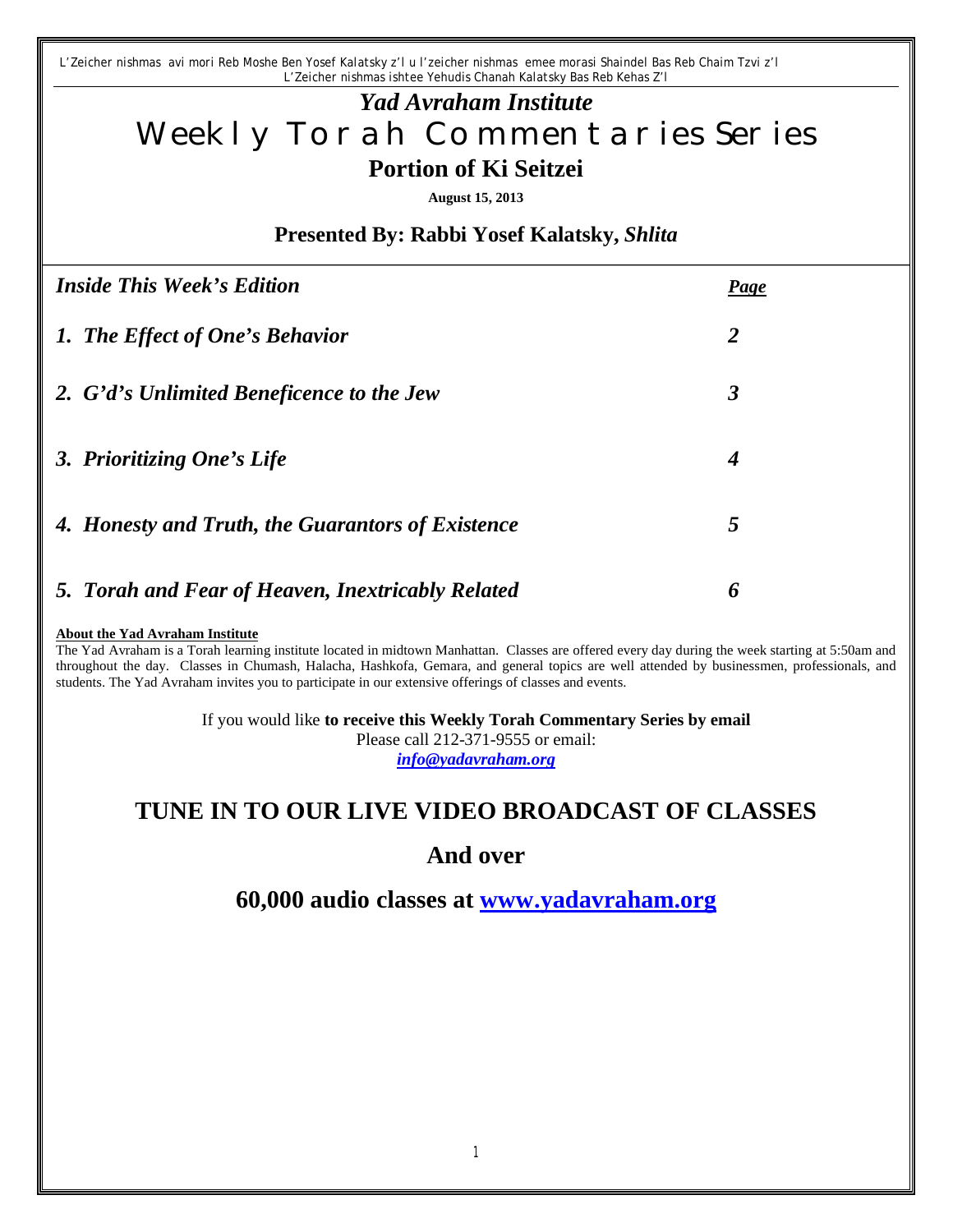*L'Zeicher nishmas avi mori Reb Moshe Ben Yosef Kalatsky z'l u l'zeicher nishmas emee morasi Shaindel Bas Reb Chaim Tzvi z'l L'Zeicher nishmas ishtee Yehudis Chanah Kalatsky Bas Reb Kehas Z'l*

# *Yad Avraham Institute* Weekly Torah Commentaries Series **Portion of Ki Seitzei**

**August 15, 2013**

**Presented By: Rabbi Yosef Kalatsky,** *Shlita*

| <b>Inside This Week's Edition</b>                 | Page           |
|---------------------------------------------------|----------------|
| 1. The Effect of One's Behavior                   | $\overline{2}$ |
| 2. G'd's Unlimited Beneficence to the Jew         | 3              |
| 3. Prioritizing One's Life                        | 4              |
| 4. Honesty and Truth, the Guarantors of Existence | 5              |
| 5. Torah and Fear of Heaven, Inextricably Related | 6              |

#### **About the Yad Avraham Institute**

The Yad Avraham is a Torah learning institute located in midtown Manhattan. Classes are offered every day during the week starting at 5:50am and throughout the day. Classes in Chumash, Halacha, Hashkofa, Gemara, and general topics are well attended by businessmen, professionals, and students. The Yad Avraham invites you to participate in our extensive offerings of classes and events.

> If you would like **to receive this Weekly Torah Commentary Series by email** Please call 212-371-9555 or email: *info@yadavraham.org*

## **TUNE IN TO OUR LIVE VIDEO BROADCAST OF CLASSES**

## **And over**

**60,000 audio classes at www.yadavraham.org**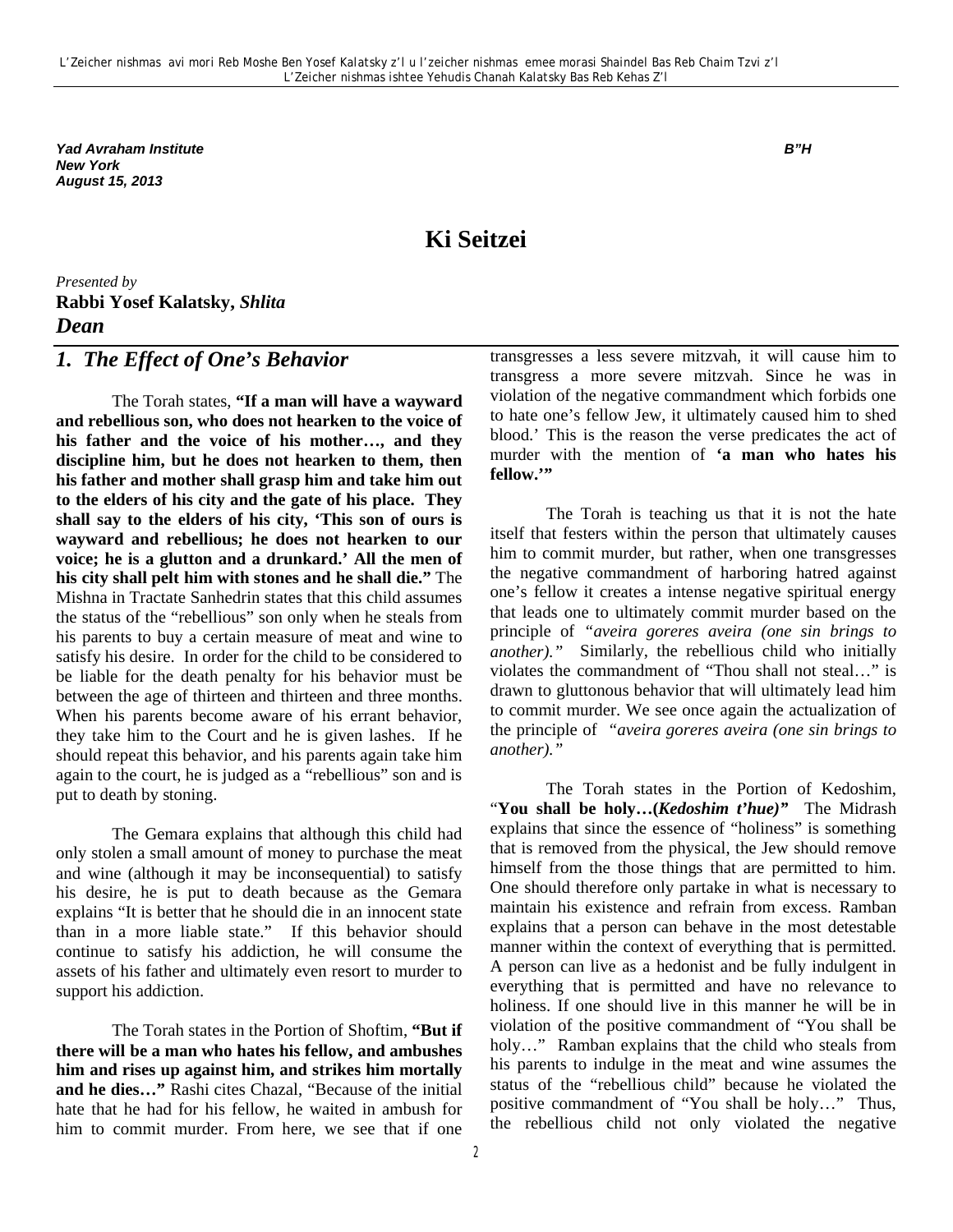*Yad Avraham Institute B"H New York August 15, 2013*

## **Ki Seitzei**

*Presented by* **Rabbi Yosef Kalatsky,** *Shlita Dean* 

#### *1. The Effect of One's Behavior*

The Torah states, **"If a man will have a wayward and rebellious son, who does not hearken to the voice of his father and the voice of his mother…, and they discipline him, but he does not hearken to them, then his father and mother shall grasp him and take him out to the elders of his city and the gate of his place. They shall say to the elders of his city, 'This son of ours is wayward and rebellious; he does not hearken to our voice; he is a glutton and a drunkard.' All the men of his city shall pelt him with stones and he shall die."** The Mishna in Tractate Sanhedrin states that this child assumes the status of the "rebellious" son only when he steals from his parents to buy a certain measure of meat and wine to satisfy his desire. In order for the child to be considered to be liable for the death penalty for his behavior must be between the age of thirteen and thirteen and three months. When his parents become aware of his errant behavior, they take him to the Court and he is given lashes. If he should repeat this behavior, and his parents again take him again to the court, he is judged as a "rebellious" son and is put to death by stoning.

The Gemara explains that although this child had only stolen a small amount of money to purchase the meat and wine (although it may be inconsequential) to satisfy his desire, he is put to death because as the Gemara explains "It is better that he should die in an innocent state than in a more liable state." If this behavior should continue to satisfy his addiction, he will consume the assets of his father and ultimately even resort to murder to support his addiction.

The Torah states in the Portion of Shoftim, **"But if there will be a man who hates his fellow, and ambushes him and rises up against him, and strikes him mortally and he dies…"** Rashi cites Chazal, "Because of the initial hate that he had for his fellow, he waited in ambush for him to commit murder. From here, we see that if one transgresses a less severe mitzvah, it will cause him to transgress a more severe mitzvah. Since he was in violation of the negative commandment which forbids one to hate one's fellow Jew, it ultimately caused him to shed blood.' This is the reason the verse predicates the act of murder with the mention of **'a man who hates his fellow.'"**

The Torah is teaching us that it is not the hate itself that festers within the person that ultimately causes him to commit murder, but rather, when one transgresses the negative commandment of harboring hatred against one's fellow it creates a intense negative spiritual energy that leads one to ultimately commit murder based on the principle of *"aveira goreres aveira (one sin brings to another)."* Similarly, the rebellious child who initially violates the commandment of "Thou shall not steal…" is drawn to gluttonous behavior that will ultimately lead him to commit murder. We see once again the actualization of the principle of *"aveira goreres aveira (one sin brings to another)."*

The Torah states in the Portion of Kedoshim, "**You shall be holy…(***Kedoshim t'hue)"* The Midrash explains that since the essence of "holiness" is something that is removed from the physical, the Jew should remove himself from the those things that are permitted to him. One should therefore only partake in what is necessary to maintain his existence and refrain from excess. Ramban explains that a person can behave in the most detestable manner within the context of everything that is permitted. A person can live as a hedonist and be fully indulgent in everything that is permitted and have no relevance to holiness. If one should live in this manner he will be in violation of the positive commandment of "You shall be holy…" Ramban explains that the child who steals from his parents to indulge in the meat and wine assumes the status of the "rebellious child" because he violated the positive commandment of "You shall be holy…" Thus, the rebellious child not only violated the negative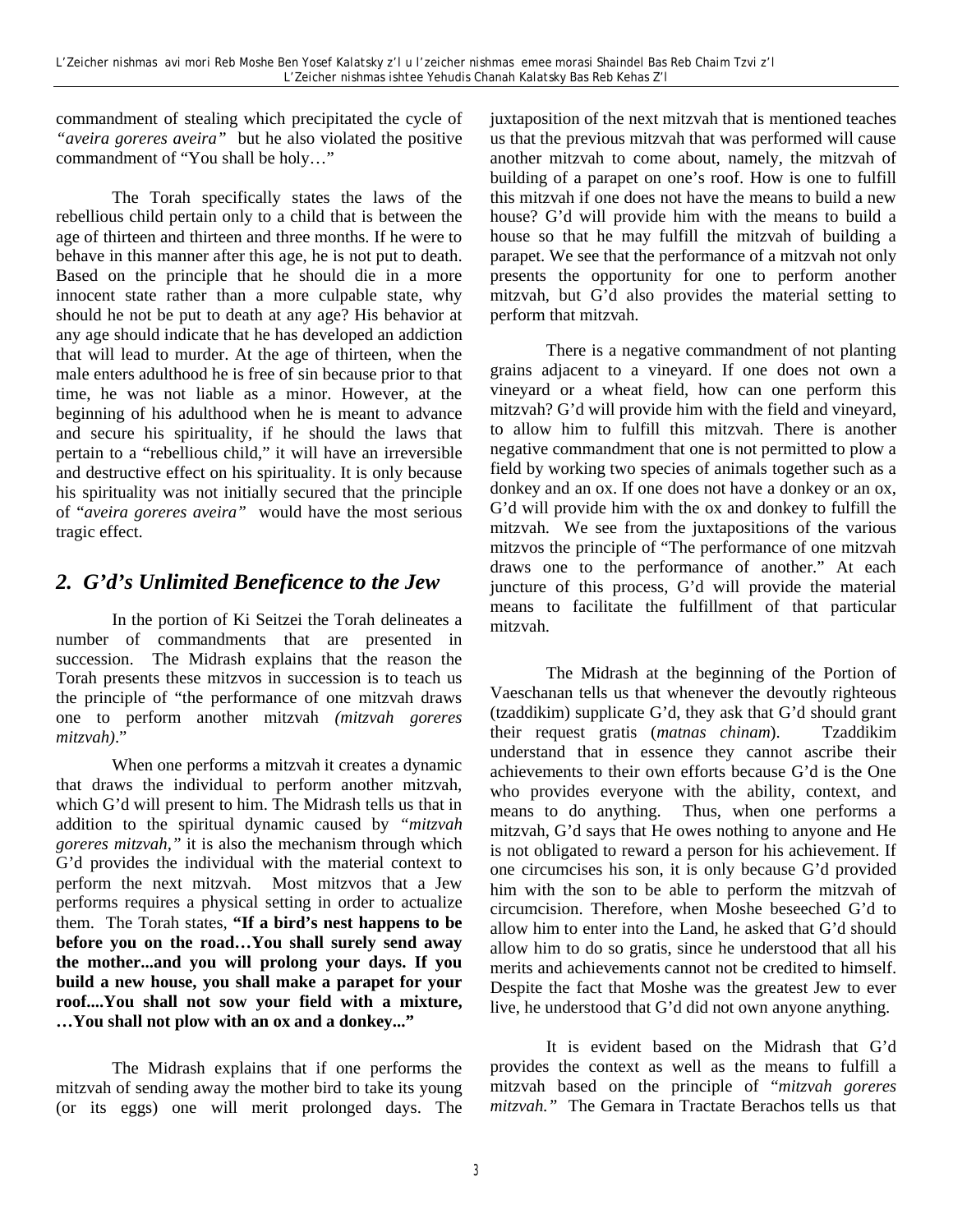commandment of stealing which precipitated the cycle of *"aveira goreres aveira"* but he also violated the positive commandment of "You shall be holy…"

The Torah specifically states the laws of the rebellious child pertain only to a child that is between the age of thirteen and thirteen and three months. If he were to behave in this manner after this age, he is not put to death. Based on the principle that he should die in a more innocent state rather than a more culpable state, why should he not be put to death at any age? His behavior at any age should indicate that he has developed an addiction that will lead to murder. At the age of thirteen, when the male enters adulthood he is free of sin because prior to that time, he was not liable as a minor. However, at the beginning of his adulthood when he is meant to advance and secure his spirituality, if he should the laws that pertain to a "rebellious child," it will have an irreversible and destructive effect on his spirituality. It is only because his spirituality was not initially secured that the principle of "*aveira goreres aveira"* would have the most serious tragic effect.

## *2. G'd's Unlimited Beneficence to the Jew*

In the portion of Ki Seitzei the Torah delineates a number of commandments that are presented in succession. The Midrash explains that the reason the Torah presents these mitzvos in succession is to teach us the principle of "the performance of one mitzvah draws one to perform another mitzvah *(mitzvah goreres mitzvah)*."

When one performs a mitzvah it creates a dynamic that draws the individual to perform another mitzvah, which G'd will present to him. The Midrash tells us that in addition to the spiritual dynamic caused by *"mitzvah goreres mitzvah,"* it is also the mechanism through which G'd provides the individual with the material context to perform the next mitzvah. Most mitzvos that a Jew performs requires a physical setting in order to actualize them. The Torah states, **"If a bird's nest happens to be before you on the road…You shall surely send away the mother...and you will prolong your days. If you build a new house, you shall make a parapet for your roof....You shall not sow your field with a mixture, …You shall not plow with an ox and a donkey..."**

The Midrash explains that if one performs the mitzvah of sending away the mother bird to take its young (or its eggs) one will merit prolonged days. The juxtaposition of the next mitzvah that is mentioned teaches us that the previous mitzvah that was performed will cause another mitzvah to come about, namely, the mitzvah of building of a parapet on one's roof. How is one to fulfill this mitzvah if one does not have the means to build a new house? G'd will provide him with the means to build a house so that he may fulfill the mitzvah of building a parapet. We see that the performance of a mitzvah not only presents the opportunity for one to perform another mitzvah, but G'd also provides the material setting to perform that mitzvah.

There is a negative commandment of not planting grains adjacent to a vineyard. If one does not own a vineyard or a wheat field, how can one perform this mitzvah? G'd will provide him with the field and vineyard, to allow him to fulfill this mitzvah. There is another negative commandment that one is not permitted to plow a field by working two species of animals together such as a donkey and an ox. If one does not have a donkey or an ox, G'd will provide him with the ox and donkey to fulfill the mitzvah. We see from the juxtapositions of the various mitzvos the principle of "The performance of one mitzvah draws one to the performance of another." At each juncture of this process, G'd will provide the material means to facilitate the fulfillment of that particular mitzvah.

The Midrash at the beginning of the Portion of Vaeschanan tells us that whenever the devoutly righteous (tzaddikim) supplicate G'd, they ask that G'd should grant their request gratis (*matnas chinam*). Tzaddikim understand that in essence they cannot ascribe their achievements to their own efforts because G'd is the One who provides everyone with the ability, context, and means to do anything. Thus, when one performs a mitzvah, G'd says that He owes nothing to anyone and He is not obligated to reward a person for his achievement. If one circumcises his son, it is only because G'd provided him with the son to be able to perform the mitzvah of circumcision. Therefore, when Moshe beseeched G'd to allow him to enter into the Land, he asked that G'd should allow him to do so gratis, since he understood that all his merits and achievements cannot not be credited to himself. Despite the fact that Moshe was the greatest Jew to ever live, he understood that G'd did not own anyone anything.

It is evident based on the Midrash that G'd provides the context as well as the means to fulfill a mitzvah based on the principle of "*mitzvah goreres mitzvah."* The Gemara in Tractate Berachos tells us that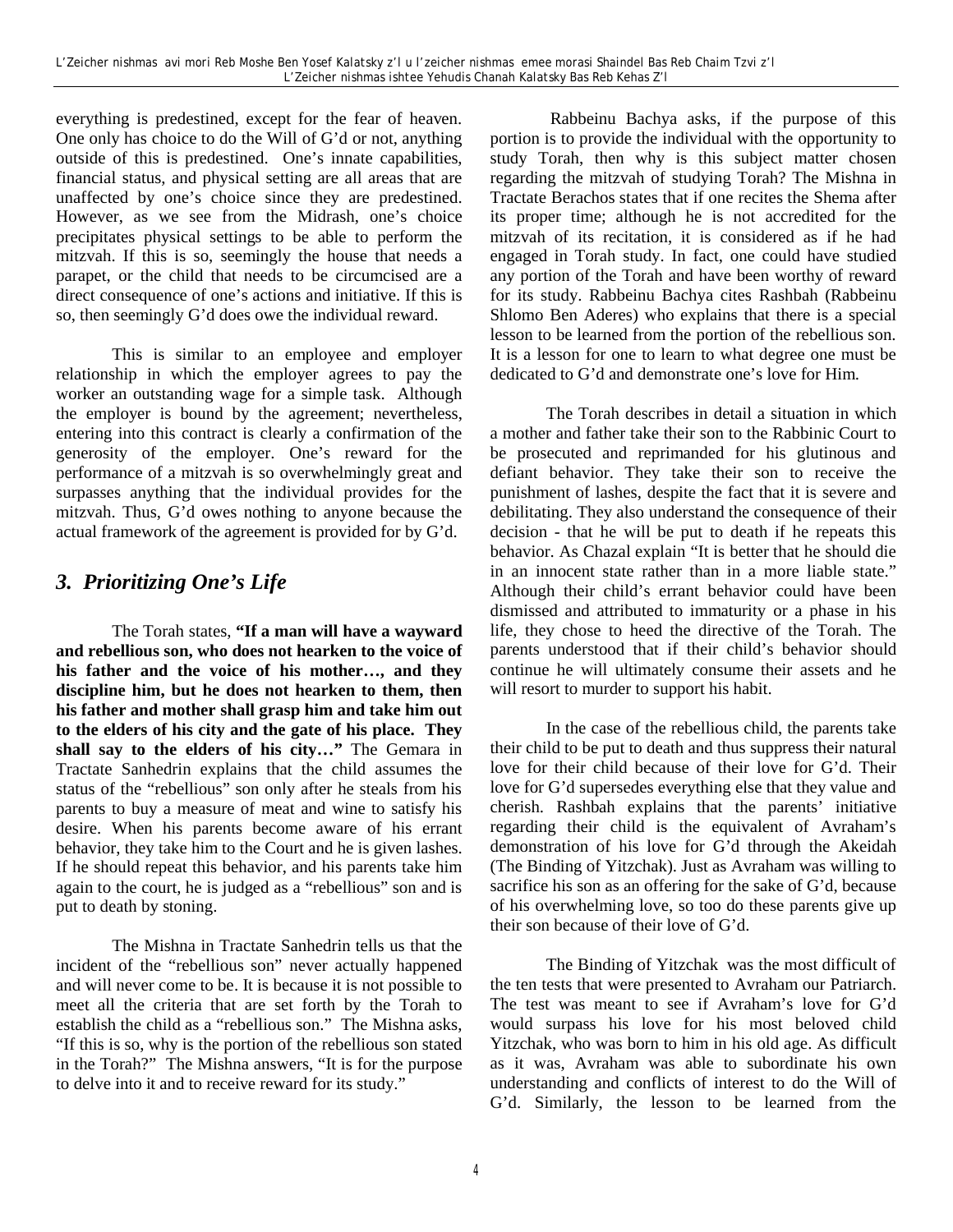everything is predestined, except for the fear of heaven. One only has choice to do the Will of G'd or not, anything outside of this is predestined. One's innate capabilities, financial status, and physical setting are all areas that are unaffected by one's choice since they are predestined. However, as we see from the Midrash, one's choice precipitates physical settings to be able to perform the mitzvah. If this is so, seemingly the house that needs a parapet, or the child that needs to be circumcised are a direct consequence of one's actions and initiative. If this is so, then seemingly G'd does owe the individual reward.

This is similar to an employee and employer relationship in which the employer agrees to pay the worker an outstanding wage for a simple task. Although the employer is bound by the agreement; nevertheless, entering into this contract is clearly a confirmation of the generosity of the employer. One's reward for the performance of a mitzvah is so overwhelmingly great and surpasses anything that the individual provides for the mitzvah. Thus, G'd owes nothing to anyone because the actual framework of the agreement is provided for by G'd.

## *3. Prioritizing One's Life*

The Torah states, **"If a man will have a wayward and rebellious son, who does not hearken to the voice of his father and the voice of his mother…, and they discipline him, but he does not hearken to them, then his father and mother shall grasp him and take him out to the elders of his city and the gate of his place. They shall say to the elders of his city…"** The Gemara in Tractate Sanhedrin explains that the child assumes the status of the "rebellious" son only after he steals from his parents to buy a measure of meat and wine to satisfy his desire. When his parents become aware of his errant behavior, they take him to the Court and he is given lashes. If he should repeat this behavior, and his parents take him again to the court, he is judged as a "rebellious" son and is put to death by stoning.

The Mishna in Tractate Sanhedrin tells us that the incident of the "rebellious son" never actually happened and will never come to be. It is because it is not possible to meet all the criteria that are set forth by the Torah to establish the child as a "rebellious son." The Mishna asks, "If this is so, why is the portion of the rebellious son stated in the Torah?" The Mishna answers, "It is for the purpose to delve into it and to receive reward for its study."

 Rabbeinu Bachya asks, if the purpose of this portion is to provide the individual with the opportunity to study Torah, then why is this subject matter chosen regarding the mitzvah of studying Torah? The Mishna in Tractate Berachos states that if one recites the Shema after its proper time; although he is not accredited for the mitzvah of its recitation, it is considered as if he had engaged in Torah study. In fact, one could have studied any portion of the Torah and have been worthy of reward for its study. Rabbeinu Bachya cites Rashbah (Rabbeinu Shlomo Ben Aderes) who explains that there is a special lesson to be learned from the portion of the rebellious son. It is a lesson for one to learn to what degree one must be dedicated to G'd and demonstrate one's love for Him.

The Torah describes in detail a situation in which a mother and father take their son to the Rabbinic Court to be prosecuted and reprimanded for his glutinous and defiant behavior. They take their son to receive the punishment of lashes, despite the fact that it is severe and debilitating. They also understand the consequence of their decision - that he will be put to death if he repeats this behavior. As Chazal explain "It is better that he should die in an innocent state rather than in a more liable state." Although their child's errant behavior could have been dismissed and attributed to immaturity or a phase in his life, they chose to heed the directive of the Torah. The parents understood that if their child's behavior should continue he will ultimately consume their assets and he will resort to murder to support his habit.

In the case of the rebellious child, the parents take their child to be put to death and thus suppress their natural love for their child because of their love for G'd. Their love for G'd supersedes everything else that they value and cherish. Rashbah explains that the parents' initiative regarding their child is the equivalent of Avraham's demonstration of his love for G'd through the Akeidah (The Binding of Yitzchak). Just as Avraham was willing to sacrifice his son as an offering for the sake of G'd, because of his overwhelming love, so too do these parents give up their son because of their love of G'd.

The Binding of Yitzchak was the most difficult of the ten tests that were presented to Avraham our Patriarch. The test was meant to see if Avraham's love for G'd would surpass his love for his most beloved child Yitzchak, who was born to him in his old age. As difficult as it was, Avraham was able to subordinate his own understanding and conflicts of interest to do the Will of G'd. Similarly, the lesson to be learned from the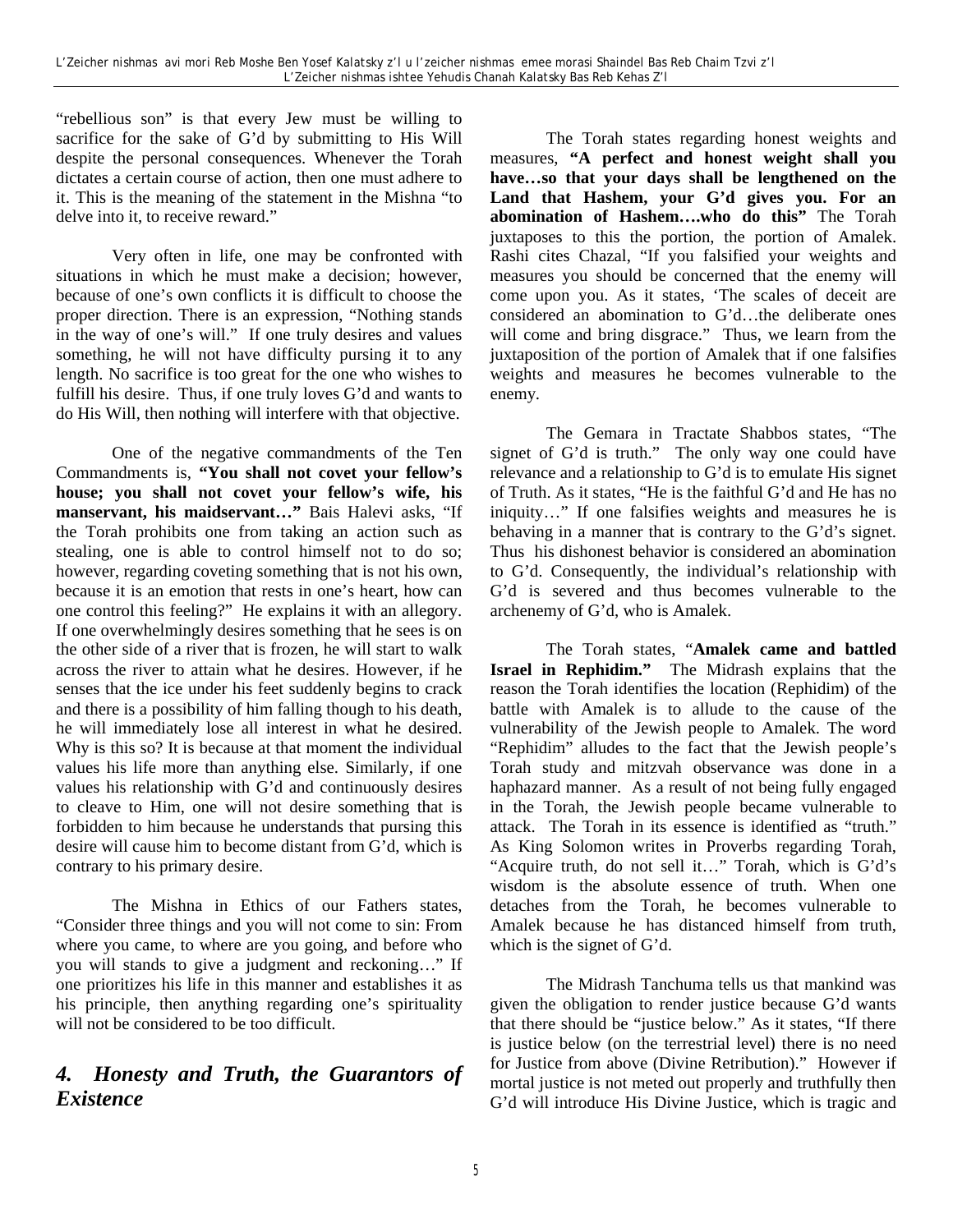"rebellious son" is that every Jew must be willing to sacrifice for the sake of G'd by submitting to His Will despite the personal consequences. Whenever the Torah dictates a certain course of action, then one must adhere to it. This is the meaning of the statement in the Mishna "to delve into it, to receive reward."

Very often in life, one may be confronted with situations in which he must make a decision; however, because of one's own conflicts it is difficult to choose the proper direction. There is an expression, "Nothing stands in the way of one's will." If one truly desires and values something, he will not have difficulty pursing it to any length. No sacrifice is too great for the one who wishes to fulfill his desire. Thus, if one truly loves G'd and wants to do His Will, then nothing will interfere with that objective.

One of the negative commandments of the Ten Commandments is, **"You shall not covet your fellow's house; you shall not covet your fellow's wife, his manservant, his maidservant…"** Bais Halevi asks, "If the Torah prohibits one from taking an action such as stealing, one is able to control himself not to do so; however, regarding coveting something that is not his own, because it is an emotion that rests in one's heart, how can one control this feeling?" He explains it with an allegory. If one overwhelmingly desires something that he sees is on the other side of a river that is frozen, he will start to walk across the river to attain what he desires. However, if he senses that the ice under his feet suddenly begins to crack and there is a possibility of him falling though to his death, he will immediately lose all interest in what he desired. Why is this so? It is because at that moment the individual values his life more than anything else. Similarly, if one values his relationship with G'd and continuously desires to cleave to Him, one will not desire something that is forbidden to him because he understands that pursing this desire will cause him to become distant from G'd, which is contrary to his primary desire.

The Mishna in Ethics of our Fathers states, "Consider three things and you will not come to sin: From where you came, to where are you going, and before who you will stands to give a judgment and reckoning…" If one prioritizes his life in this manner and establishes it as his principle, then anything regarding one's spirituality will not be considered to be too difficult.

## *4. Honesty and Truth, the Guarantors of Existence*

The Torah states regarding honest weights and measures, **"A perfect and honest weight shall you have…so that your days shall be lengthened on the Land that Hashem, your G'd gives you. For an abomination of Hashem….who do this"** The Torah juxtaposes to this the portion, the portion of Amalek. Rashi cites Chazal, "If you falsified your weights and measures you should be concerned that the enemy will come upon you. As it states, 'The scales of deceit are considered an abomination to G'd…the deliberate ones will come and bring disgrace." Thus, we learn from the juxtaposition of the portion of Amalek that if one falsifies weights and measures he becomes vulnerable to the enemy.

The Gemara in Tractate Shabbos states, "The signet of G'd is truth." The only way one could have relevance and a relationship to G'd is to emulate His signet of Truth. As it states, "He is the faithful G'd and He has no iniquity…" If one falsifies weights and measures he is behaving in a manner that is contrary to the G'd's signet. Thus his dishonest behavior is considered an abomination to G'd. Consequently, the individual's relationship with G'd is severed and thus becomes vulnerable to the archenemy of G'd, who is Amalek.

The Torah states, "**Amalek came and battled Israel in Rephidim."** The Midrash explains that the reason the Torah identifies the location (Rephidim) of the battle with Amalek is to allude to the cause of the vulnerability of the Jewish people to Amalek. The word "Rephidim" alludes to the fact that the Jewish people's Torah study and mitzvah observance was done in a haphazard manner. As a result of not being fully engaged in the Torah, the Jewish people became vulnerable to attack. The Torah in its essence is identified as "truth." As King Solomon writes in Proverbs regarding Torah, "Acquire truth, do not sell it…" Torah, which is G'd's wisdom is the absolute essence of truth. When one detaches from the Torah, he becomes vulnerable to Amalek because he has distanced himself from truth, which is the signet of G'd.

The Midrash Tanchuma tells us that mankind was given the obligation to render justice because G'd wants that there should be "justice below." As it states, "If there is justice below (on the terrestrial level) there is no need for Justice from above (Divine Retribution)." However if mortal justice is not meted out properly and truthfully then G'd will introduce His Divine Justice, which is tragic and